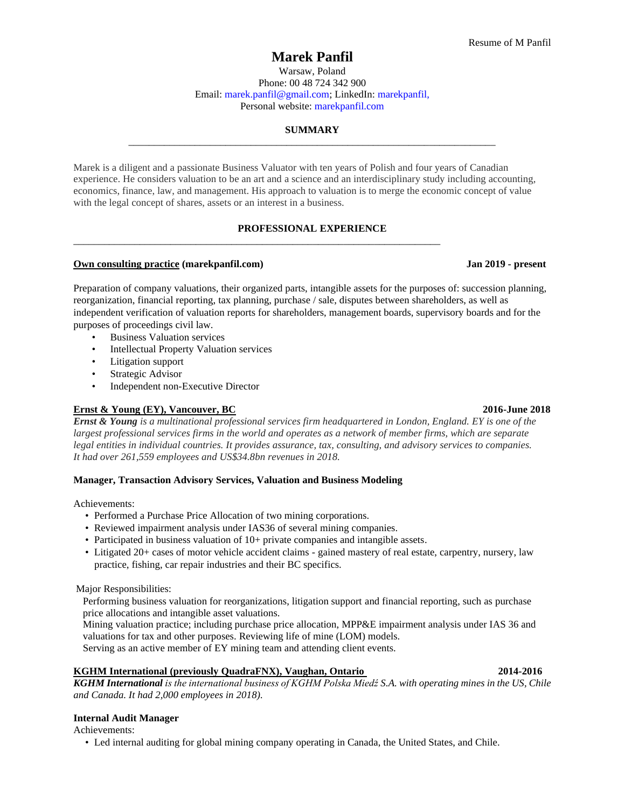# **Marek Panfil**

Warsaw, Poland Phone: 00 48 724 342 900 Email: [marek.panfil@gmail.com;](mailto:marek.panfil@gmail.com) LinkedIn: [marekpanfil,](https://ca.linkedin.com/in/marekpanfil) Personal website: marekpanfil.com

# **SUMMARY** \_\_\_\_\_\_\_\_\_\_\_\_\_\_\_\_\_\_\_\_\_\_\_\_\_\_\_\_\_\_\_\_\_\_\_\_\_\_\_\_\_\_\_\_\_\_\_\_\_\_\_\_\_\_\_\_\_\_\_\_\_\_\_\_\_\_\_\_\_\_\_\_

Marek is a diligent and a passionate Business Valuator with ten years of Polish and four years of Canadian experience. He considers valuation to be an art and a science and an interdisciplinary study including accounting, economics, finance, law, and management. His approach to valuation is to merge the economic concept of value with the legal concept of shares, assets or an interest in a business.

# **PROFESSIONAL EXPERIENCE**

\_\_\_\_\_\_\_\_\_\_\_\_\_\_\_\_\_\_\_\_\_\_\_\_\_\_\_\_\_\_\_\_\_\_\_\_\_\_\_\_\_\_\_\_\_\_\_\_\_\_\_\_\_\_\_\_\_\_\_\_\_\_\_\_\_\_\_\_\_\_\_\_

# **Own consulting practice (marekpanfil.com) Jan 2019 - present**

Preparation of company valuations, their organized parts, intangible assets for the purposes of: succession planning, reorganization, financial reporting, tax planning, purchase / sale, disputes between shareholders, as well as independent verification of valuation reports for shareholders, management boards, supervisory boards and for the purposes of proceedings civil law.

- Business Valuation services
- Intellectual Property Valuation services
- Litigation support
- Strategic Advisor
- Independent non-Executive Director

# **Ernst & Young (EY), Vancouver, BC 2016-June 2018**

**Ernst & Young** is a multinational professional services firm headquartered in London, England. EY is one of the largest professional services firms in the world and operates as a network of member firms, which are separate *legal entities in individual countries. It provides assurance, tax, consulting, and advisory services to companies. It had over 261,559 employees and US\$34.8bn revenues in 2018.*

# **Manager, Transaction Advisory Services, Valuation and Business Modeling**

Achievements:

- Performed a Purchase Price Allocation of two mining corporations.
- Reviewed impairment analysis under IAS36 of several mining companies.
- Participated in business valuation of 10+ private companies and intangible assets.
- Litigated 20+ cases of motor vehicle accident claims gained mastery of real estate, carpentry, nursery, law practice, fishing, car repair industries and their BC specifics.

Major Responsibilities:

Performing business valuation for reorganizations, litigation support and financial reporting, such as purchase price allocations and intangible asset valuations.

Mining valuation practice; including purchase price allocation, MPP&E impairment analysis under IAS 36 and valuations for tax and other purposes. Reviewing life of mine (LOM) models.

Serving as an active member of EY mining team and attending client events.

## **KGHM International (previously QuadraFNX), Vaughan, Ontario 2014-2016**

*KGHM International is the international business of KGHM Polska Miedź S.A. with operating mines in the US, Chile and Canada. It had 2,000 employees in 2018).*

# **Internal Audit Manager**

Achievements:

• Led internal auditing for global mining company operating in Canada, the United States, and Chile.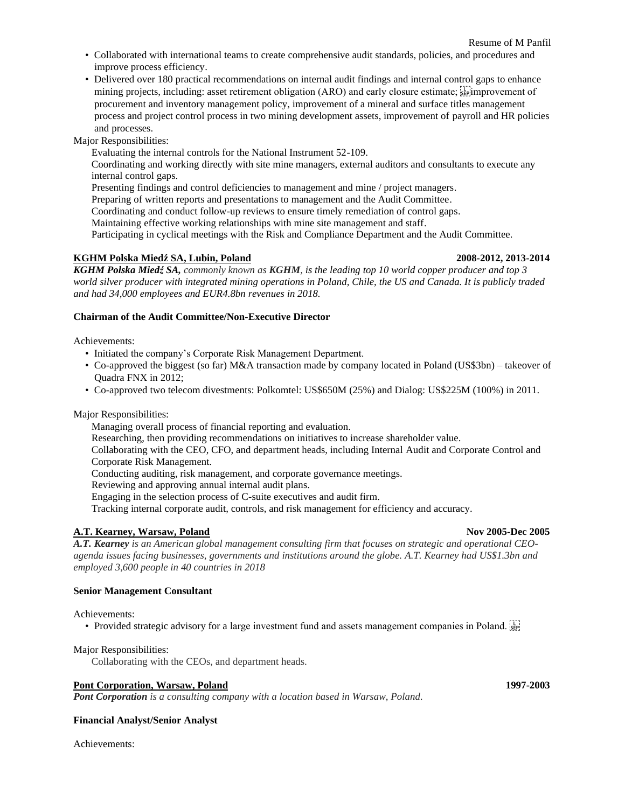- Collaborated with international teams to create comprehensive audit standards, policies, and procedures and improve process efficiency.
- Delivered over 180 practical recommendations on internal audit findings and internal control gaps to enhance mining projects, including: asset retirement obligation  $(ARO)$  and early closure estimate;  $s_{\text{tr}}^{\text{left}}$  improvement of procurement and inventory management policy, improvement of a mineral and surface titles management process and project control process in two mining development assets, improvement of payroll and HR policies and processes.

Major Responsibilities:

Evaluating the internal controls for the National Instrument 52-109.

Coordinating and working directly with site mine managers, external auditors and consultants to execute any internal control gaps.

Presenting findings and control deficiencies to management and mine / project managers.

Preparing of written reports and presentations to management and the Audit Committee.

Coordinating and conduct follow-up reviews to ensure timely remediation of control gaps.

Maintaining effective working relationships with mine site management and staff.

Participating in cyclical meetings with the Risk and Compliance Department and the Audit Committee.

# **KGHM Polska Miedź SA, Lubin, Poland 2008-2012, 2013-2014**

**KGHM Polska Miedź SA,** commonly known as **KGHM**, is the leading top 10 world copper producer and top 3 world silver producer with integrated mining operations in Poland, Chile, the US and Canada. It is publicly traded *and had 34,000 employees and EUR4.8bn revenues in 2018.*

# **Chairman of the Audit Committee/Non-Executive Director**

Achievements:

- Initiated the company's Corporate Risk Management Department.
- Co-approved the biggest (so far) M&A transaction made by company located in Poland (US\$3bn) takeover of Quadra FNX in 2012;
- Co-approved two telecom divestments: Polkomtel: US\$650M (25%) and Dialog: US\$225M (100%) in 2011.

Major Responsibilities:

Managing overall process of financial reporting and evaluation.

Researching, then providing recommendations on initiatives to increase shareholder value.

Collaborating with the CEO, CFO, and department heads, including Internal Audit and Corporate Control and Corporate Risk Management.

Conducting auditing, risk management, and corporate governance meetings.

Reviewing and approving annual internal audit plans.

Engaging in the selection process of C-suite executives and audit firm.

Tracking internal corporate audit, controls, and risk management for efficiency and accuracy.

# **A.T. Kearney, Warsaw, Poland November 2005-Dec** 2005

*A.T. Kearney is an American global management consulting firm that focuses on strategic and operational CEOagenda issues facing businesses, governments and institutions around the globe. A.T. Kearney had US\$1.3bn and employed 3,600 people in 40 countries in 2018* 

## **Senior Management Consultant**

Achievements:

• Provided strategic advisory for a large investment fund and assets management companies in Poland.

Major Responsibilities:

Collaborating with the CEOs, and department heads.

# **Pont Corporation, Warsaw, Poland 1997-2003**

*Pont Corporation is a consulting company with a location based in Warsaw, Poland.*

## **Financial Analyst/Senior Analyst**

Achievements: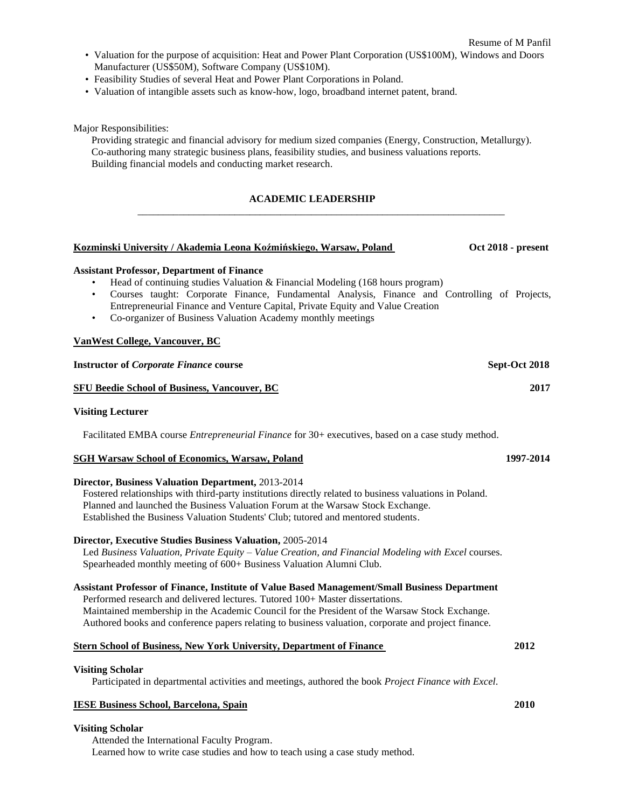**Kozminski University / Akademia Leona Koźmińskiego, Warsaw, Poland Oct 2018 - present**

- Valuation for the purpose of acquisition: Heat and Power Plant Corporation (US\$100M), Windows and Doors Manufacturer (US\$50M), Software Company (US\$10M).
- Feasibility Studies of several Heat and Power Plant Corporations in Poland.
- Valuation of intangible assets such as know-how, logo, broadband internet patent, brand.

Major Responsibilities:

Providing strategic and financial advisory for medium sized companies (Energy, Construction, Metallurgy). Co-authoring many strategic business plans, feasibility studies, and business valuations reports. Building financial models and conducting market research.

### **ACADEMIC LEADERSHIP**

\_\_\_\_\_\_\_\_\_\_\_\_\_\_\_\_\_\_\_\_\_\_\_\_\_\_\_\_\_\_\_\_\_\_\_\_\_\_\_\_\_\_\_\_\_\_\_\_\_\_\_\_\_\_\_\_\_\_\_\_\_\_\_\_\_\_\_\_\_\_\_\_

| Kozminski University / Akademia Leona Koźmińskiego, Warsaw, Poland |  |
|--------------------------------------------------------------------|--|
|--------------------------------------------------------------------|--|

### **Assistant Professor, Department of Finance**

- Head of continuing studies Valuation  $\&$  Financial Modeling (168 hours program)
- Courses taught: Corporate Finance, Fundamental Analysis, Finance and Controlling of Projects, Entrepreneurial Finance and Venture Capital, Private Equity and Value Creation
- Co-organizer of Business Valuation Academy monthly meetings

### **VanWest College, Vancouver, BC**

| <b>Instructor of Corporate Finance course</b>       | Sept-Oct 2018 |
|-----------------------------------------------------|---------------|
| <b>SFU Beedie School of Business, Vancouver, BC</b> | 2017          |

### **Visiting Lecturer**

Facilitated EMBA course *Entrepreneurial Finance* for 30+ executives, based on a case study method.

### **SGH Warsaw School of Economics, Warsaw, Poland 1997-2014**

### **Director, Business Valuation Department,** 2013-2014

Fostered relationships with third-party institutions directly related to business valuations in Poland. Planned and launched the Business Valuation Forum at the Warsaw Stock Exchange. Established the Business Valuation Students' Club; tutored and mentored students.

# **Director, Executive Studies Business Valuation,** 2005-2014

Led *Business Valuation, Private Equity – Value Creation, and Financial Modeling with Excel* courses. Spearheaded monthly meeting of 600+ Business Valuation Alumni Club.

### **Assistant Professor of Finance, Institute of Value Based Management/Small Business Department**

Performed research and delivered lectures. Tutored 100+ Master dissertations. Maintained membership in the Academic Council for the President of the Warsaw Stock Exchange. Authored books and conference papers relating to business valuation, corporate and project finance.

### **Stern School of Business, New York University, Department of Finance 2012**

### **Visiting Scholar**

Participated in departmental activities and meetings, authored the book *Project Finance with Excel*.

### **IESE Business School, Barcelona, Spain 2010**

### **Visiting Scholar**

Attended the International Faculty Program. Learned how to write case studies and how to teach using a case study method.